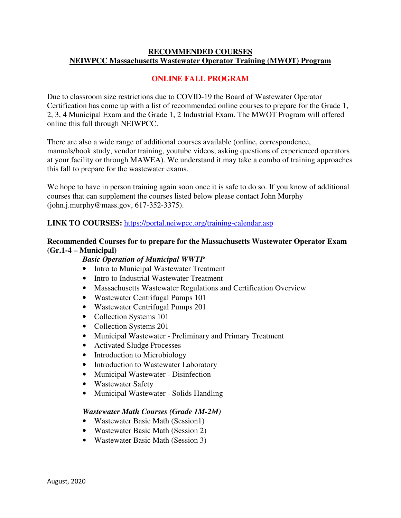## **RECOMMENDED COURSES NEIWPCC Massachusetts Wastewater Operator Training (MWOT) Program**

# **ONLINE FALL PROGRAM**

Due to classroom size restrictions due to COVID-19 the Board of Wastewater Operator Certification has come up with a list of recommended online courses to prepare for the Grade 1, 2, 3, 4 Municipal Exam and the Grade 1, 2 Industrial Exam. The MWOT Program will offered online this fall through NEIWPCC.

There are also a wide range of additional courses available (online, correspondence, manuals/book study, vendor training, youtube videos, asking questions of experienced operators at your facility or through MAWEA). We understand it may take a combo of training approaches this fall to prepare for the wastewater exams.

We hope to have in person training again soon once it is safe to do so. If you know of additional courses that can supplement the courses listed below please contact John Murphy (john.j.murphy@mass.gov, 617-352-3375).

### **LINK TO COURSES:** https://portal.neiwpcc.org/training-calendar.asp

### **Recommended Courses for to prepare for the Massachusetts Wastewater Operator Exam (Gr.1-4 – Municipal)**

#### *Basic Operation of Municipal WWTP*

- Intro to Municipal Wastewater Treatment
- Intro to Industrial Wastewater Treatment
- Massachusetts Wastewater Regulations and Certification Overview
- Wastewater Centrifugal Pumps 101
- Wastewater Centrifugal Pumps 201
- Collection Systems 101
- Collection Systems 201
- Municipal Wastewater Preliminary and Primary Treatment
- Activated Sludge Processes
- Introduction to Microbiology
- Introduction to Wastewater Laboratory
- Municipal Wastewater Disinfection
- Wastewater Safety
- Municipal Wastewater Solids Handling

#### *Wastewater Math Courses (Grade 1M-2M)*

- Wastewater Basic Math (Session1)
- Wastewater Basic Math (Session 2)
- Wastewater Basic Math (Session 3)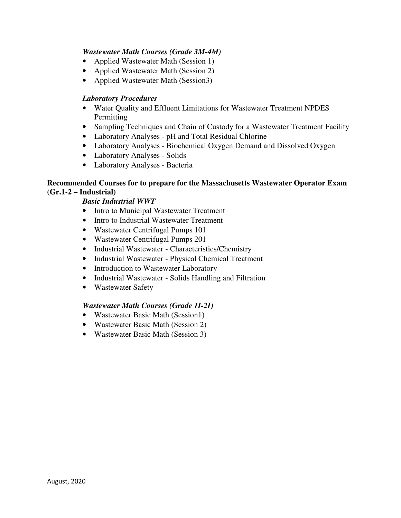# *Wastewater Math Courses (Grade 3M-4M)*

- Applied Wastewater Math (Session 1)
- Applied Wastewater Math (Session 2)
- Applied Wastewater Math (Session3)

#### *Laboratory Procedures*

- Water Quality and Effluent Limitations for Wastewater Treatment NPDES **Permitting**
- Sampling Techniques and Chain of Custody for a Wastewater Treatment Facility
- Laboratory Analyses pH and Total Residual Chlorine
- Laboratory Analyses Biochemical Oxygen Demand and Dissolved Oxygen
- Laboratory Analyses Solids
- Laboratory Analyses Bacteria

## **Recommended Courses for to prepare for the Massachusetts Wastewater Operator Exam (Gr.1-2 – Industrial)**

### *Basic Industrial WWT*

- Intro to Municipal Wastewater Treatment
- Intro to Industrial Wastewater Treatment
- Wastewater Centrifugal Pumps 101
- Wastewater Centrifugal Pumps 201
- Industrial Wastewater Characteristics/Chemistry
- Industrial Wastewater Physical Chemical Treatment
- Introduction to Wastewater Laboratory
- Industrial Wastewater Solids Handling and Filtration
- Wastewater Safety

#### *Wastewater Math Courses (Grade 1I-2I)*

- Wastewater Basic Math (Session1)
- Wastewater Basic Math (Session 2)
- Wastewater Basic Math (Session 3)